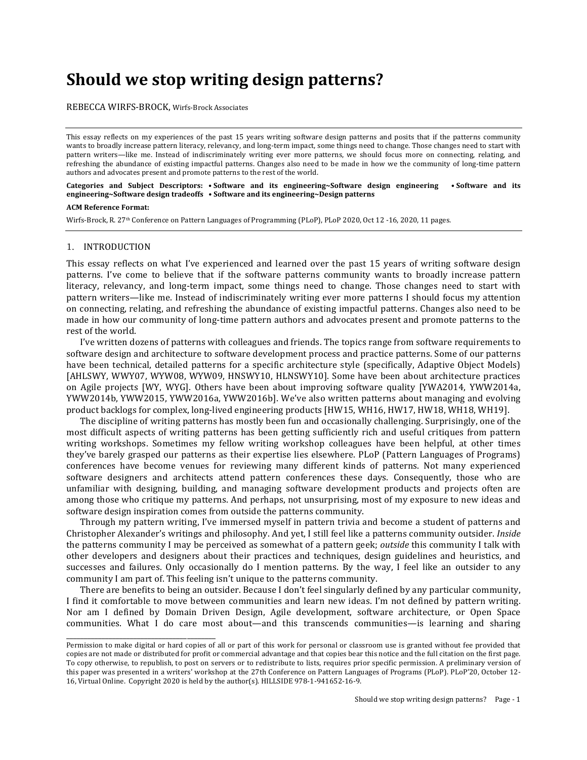# **Should we stop writing design patterns?**

REBECCA WIRFS-BROCK, Wirfs-Brock Associates

This essay reflects on my experiences of the past 15 years writing software design patterns and posits that if the patterns community wants to broadly increase pattern literacy, relevancy, and long-term impact, some things need to change. Those changes need to start with pattern writers—like me. Instead of indiscriminately writing ever more patterns, we should focus more on connecting, relating, and refreshing the abundance of existing impactful patterns. Changes also need to be made in how we the community of long-time pattern authors and advocates present and promote patterns to the rest of the world.

## **Categories** and Subject Descriptors: • Software and its engineering~Software design engineering • Software and its **engineering~Software design tradeoffs • Software and its engineering~Design patterns**

#### **ACM Reference Format:**

Wirfs-Brock, R. 27<sup>th</sup> Conference on Pattern Languages of Programming (PLoP), PLoP 2020, Oct 12 -16, 2020, 11 pages.

#### 1. INTRODUCTION

\_\_\_\_\_\_\_\_\_\_\_\_\_\_\_\_\_\_\_\_\_\_\_\_\_\_\_\_\_\_\_\_\_\_\_\_\_\_\_\_\_\_

This essay reflects on what I've experienced and learned over the past 15 years of writing software design patterns. I've come to believe that if the software patterns community wants to broadly increase pattern literacy, relevancy, and long-term impact, some things need to change. Those changes need to start with pattern writers—like me. Instead of indiscriminately writing ever more patterns I should focus my attention on connecting, relating, and refreshing the abundance of existing impactful patterns. Changes also need to be made in how our community of long-time pattern authors and advocates present and promote patterns to the rest of the world.

I've written dozens of patterns with colleagues and friends. The topics range from software requirements to software design and architecture to software development process and practice patterns. Some of our patterns have been technical, detailed patterns for a specific architecture style (specifically, Adaptive Object Models) [AHLSWY, WWY07, WYW08, WYW09, HNSWY10, HLNSWY10]. Some have been about architecture practices on Agile projects [WY, WYG]. Others have been about improving software quality [YWA2014, YWW2014a, YWW2014b, YWW2015, YWW2016a, YWW2016b]. We've also written patterns about managing and evolving product backlogs for complex, long-lived engineering products [HW15, WH16, HW17, HW18, WH18, WH19].

The discipline of writing patterns has mostly been fun and occasionally challenging. Surprisingly, one of the most difficult aspects of writing patterns has been getting sufficiently rich and useful critiques from pattern writing workshops. Sometimes my fellow writing workshop colleagues have been helpful, at other times they've barely grasped our patterns as their expertise lies elsewhere. PLoP (Pattern Languages of Programs) conferences have become venues for reviewing many different kinds of patterns. Not many experienced software designers and architects attend pattern conferences these days. Consequently, those who are unfamiliar with designing, building, and managing software development products and projects often are among those who critique my patterns. And perhaps, not unsurprising, most of my exposure to new ideas and software design inspiration comes from outside the patterns community.

Through my pattern writing, I've immersed myself in pattern trivia and become a student of patterns and Christopher Alexander's writings and philosophy. And yet, I still feel like a patterns community outsider. *Inside* the patterns community I may be perceived as somewhat of a pattern geek; *outside* this community I talk with other developers and designers about their practices and techniques, design guidelines and heuristics, and successes and failures. Only occasionally do I mention patterns. By the way, I feel like an outsider to any community I am part of. This feeling isn't unique to the patterns community.

There are benefits to being an outsider. Because I don't feel singularly defined by any particular community, I find it comfortable to move between communities and learn new ideas. I'm not defined by pattern writing. Nor am I defined by Domain Driven Design, Agile development, software architecture, or Open Space communities. What I do care most about—and this transcends communities—is learning and sharing

Permission to make digital or hard copies of all or part of this work for personal or classroom use is granted without fee provided that copies are not made or distributed for profit or commercial advantage and that copies bear this notice and the full citation on the first page. To copy otherwise, to republish, to post on servers or to redistribute to lists, requires prior specific permission. A preliminary version of this paper was presented in a writers' workshop at the 27th Conference on Pattern Languages of Programs (PLoP). PLoP'20, October 12-16, Virtual Online. Copyright 2020 is held by the author(s). HILLSIDE 978-1-941652-16-9.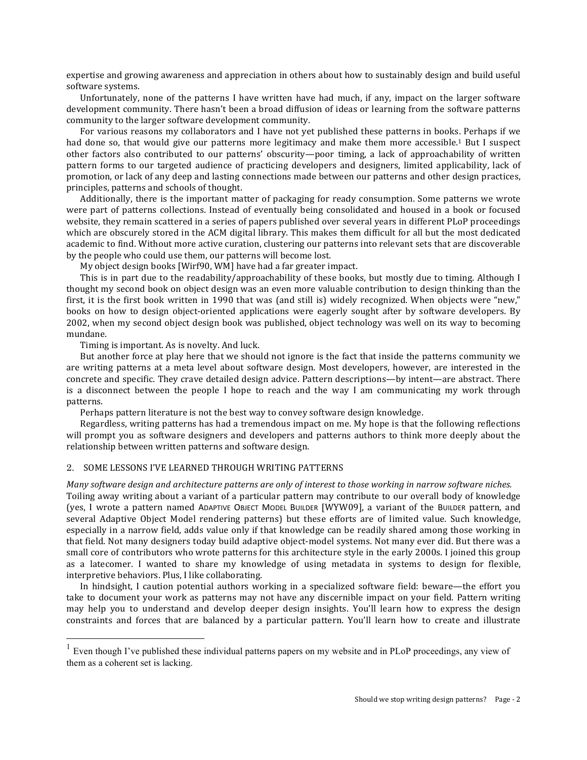expertise and growing awareness and appreciation in others about how to sustainably design and build useful software systems.

Unfortunately, none of the patterns I have written have had much, if any, impact on the larger software development community. There hasn't been a broad diffusion of ideas or learning from the software patterns community to the larger software development community.

For various reasons my collaborators and I have not yet published these patterns in books. Perhaps if we had done so, that would give our patterns more legitimacy and make them more accessible.<sup>1</sup> But I suspect other factors also contributed to our patterns' obscurity—poor timing, a lack of approachability of written pattern forms to our targeted audience of practicing developers and designers, limited applicability, lack of promotion, or lack of any deep and lasting connections made between our patterns and other design practices, principles, patterns and schools of thought.

Additionally, there is the important matter of packaging for ready consumption. Some patterns we wrote were part of patterns collections. Instead of eventually being consolidated and housed in a book or focused website, they remain scattered in a series of papers published over several years in different PLoP proceedings which are obscurely stored in the ACM digital library. This makes them difficult for all but the most dedicated academic to find. Without more active curation, clustering our patterns into relevant sets that are discoverable by the people who could use them, our patterns will become lost.

My object design books [Wirf90, WM] have had a far greater impact.

This is in part due to the readability/approachability of these books, but mostly due to timing. Although I thought my second book on object design was an even more valuable contribution to design thinking than the first, it is the first book written in 1990 that was (and still is) widely recognized. When objects were "new," books on how to design object-oriented applications were eagerly sought after by software developers. By 2002, when my second object design book was published, object technology was well on its way to becoming mundane.

Timing is important. As is novelty. And luck.

But another force at play here that we should not ignore is the fact that inside the patterns community we are writing patterns at a meta level about software design. Most developers, however, are interested in the concrete and specific. They crave detailed design advice. Pattern descriptions—by intent—are abstract. There is a disconnect between the people I hope to reach and the way I am communicating my work through patterns.

Perhaps pattern literature is not the best way to convey software design knowledge.

Regardless, writing patterns has had a tremendous impact on me. My hope is that the following reflections will prompt you as software designers and developers and patterns authors to think more deeply about the relationship between written patterns and software design.

## 2. SOME LESSONS I'VE LEARNED THROUGH WRITING PATTERNS

## *Many* software design and architecture patterns are only of interest to those working in narrow software niches.

Toiling away writing about a variant of a particular pattern may contribute to our overall body of knowledge (yes, I wrote a pattern named ADAPTIVE OBJECT MODEL BUILDER [WYW09], a variant of the BUILDER pattern, and several Adaptive Object Model rendering patterns) but these efforts are of limited value. Such knowledge, especially in a narrow field, adds value only if that knowledge can be readily shared among those working in that field. Not many designers today build adaptive object-model systems. Not many ever did. But there was a small core of contributors who wrote patterns for this architecture style in the early 2000s. I joined this group as a latecomer. I wanted to share my knowledge of using metadata in systems to design for flexible, interpretive behaviors. Plus, I like collaborating.

In hindsight, I caution potential authors working in a specialized software field: beware—the effort you take to document your work as patterns may not have any discernible impact on your field. Pattern writing may help you to understand and develop deeper design insights. You'll learn how to express the design constraints and forces that are balanced by a particular pattern. You'll learn how to create and illustrate

 $<sup>1</sup>$  Even though I've published these individual patterns papers on my website and in PLoP proceedings, any view of</sup> them as a coherent set is lacking.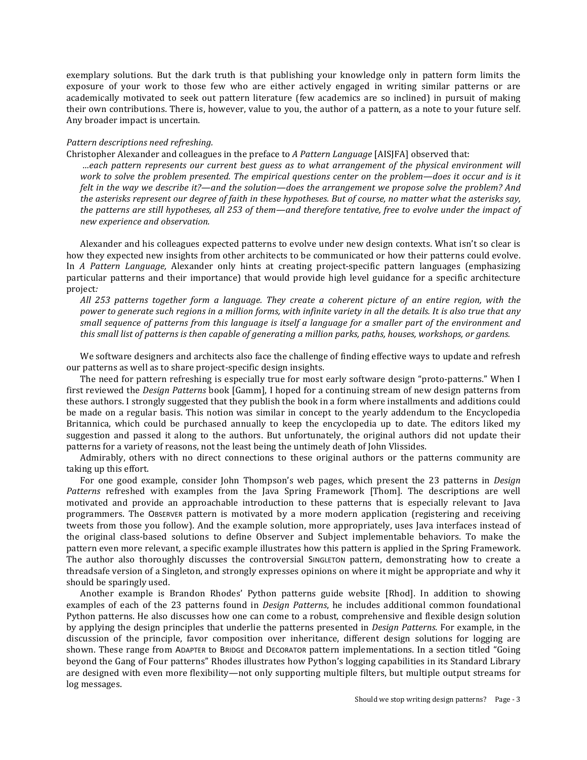exemplary solutions. But the dark truth is that publishing your knowledge only in pattern form limits the exposure of your work to those few who are either actively engaged in writing similar patterns or are academically motivated to seek out pattern literature (few academics are so inclined) in pursuit of making their own contributions. There is, however, value to you, the author of a pattern, as a note to your future self. Any broader impact is uncertain.

## *Pattern descriptions need refreshing.*

Christopher Alexander and colleagues in the preface to *A Pattern Language* [AISJFA] observed that:

*…each pattern represents our current best guess as to what arrangement of the physical environment will*  work to solve the problem presented. The empirical questions center on the problem—does it occur and is it *felt* in the way we describe it?—and the solution—does the arrangement we propose solve the problem? And *the asterisks represent our degree of faith in these hypotheses. But of course, no matter what the asterisks say,* the patterns are still hypotheses, all 253 of them—and therefore tentative, free to evolve under the impact of *new experience and observation.*

Alexander and his colleagues expected patterns to evolve under new design contexts. What isn't so clear is how they expected new insights from other architects to be communicated or how their patterns could evolve. In *A* Pattern Language, Alexander only hints at creating project-specific pattern languages (emphasizing particular patterns and their importance) that would provide high level guidance for a specific architecture project*:*

All 253 patterns together form a language. They create a coherent picture of an entire region, with the *power* to generate such regions in a million forms, with infinite variety in all the details. It is also true that any *small sequence of patterns from this language is itself a language for a smaller part of the environment and this* small list of patterns is then capable of generating a million parks, paths, houses, workshops, or gardens.

We software designers and architects also face the challenge of finding effective ways to update and refresh our patterns as well as to share project-specific design insights.

The need for pattern refreshing is especially true for most early software design "proto-patterns." When I first reviewed the *Design Patterns* book [Gamm], I hoped for a continuing stream of new design patterns from these authors. I strongly suggested that they publish the book in a form where installments and additions could be made on a regular basis. This notion was similar in concept to the yearly addendum to the Encyclopedia Britannica, which could be purchased annually to keep the encyclopedia up to date. The editors liked my suggestion and passed it along to the authors. But unfortunately, the original authors did not update their patterns for a variety of reasons, not the least being the untimely death of John Vlissides.

Admirably, others with no direct connections to these original authors or the patterns community are taking up this effort.

For one good example, consider John Thompson's web pages, which present the 23 patterns in *Design Patterns* refreshed with examples from the Java Spring Framework [Thom]. The descriptions are well motivated and provide an approachable introduction to these patterns that is especially relevant to Java programmers. The Observer pattern is motivated by a more modern application (registering and receiving tweets from those you follow). And the example solution, more appropriately, uses Java interfaces instead of the original class-based solutions to define Observer and Subject implementable behaviors. To make the pattern even more relevant, a specific example illustrates how this pattern is applied in the Spring Framework. The author also thoroughly discusses the controversial SINGLETON pattern, demonstrating how to create a threadsafe version of a Singleton, and strongly expresses opinions on where it might be appropriate and why it should be sparingly used.

Another example is Brandon Rhodes' Python patterns guide website [Rhod]. In addition to showing examples of each of the 23 patterns found in *Design Patterns*, he includes additional common foundational Python patterns. He also discusses how one can come to a robust, comprehensive and flexible design solution by applying the design principles that underlie the patterns presented in *Design Patterns*. For example, in the discussion of the principle, favor composition over inheritance, different design solutions for logging are shown. These range from ADAPTER to BRIDGE and DECORATOR pattern implementations. In a section titled "Going beyond the Gang of Four patterns" Rhodes illustrates how Python's logging capabilities in its Standard Library are designed with even more flexibility—not only supporting multiple filters, but multiple output streams for log messages.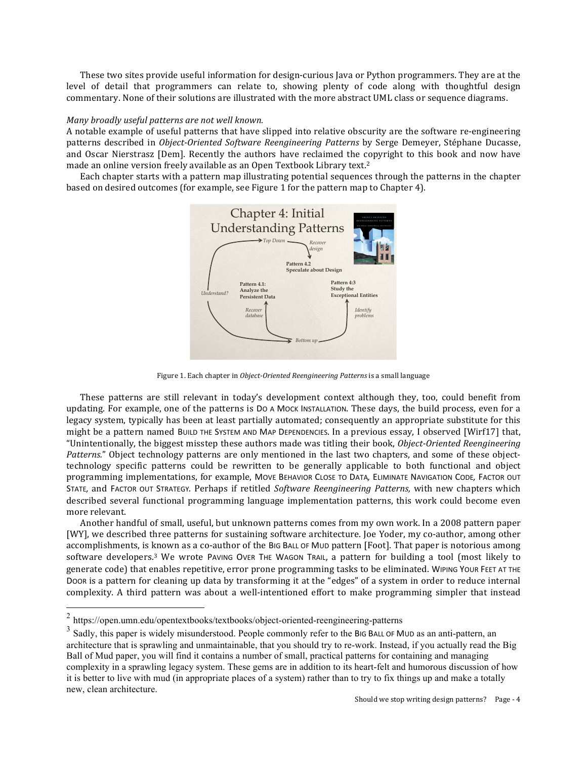These two sites provide useful information for design-curious Java or Python programmers. They are at the level of detail that programmers can relate to, showing plenty of code along with thoughtful design commentary. None of their solutions are illustrated with the more abstract UML class or sequence diagrams.

## *Many broadly useful patterns are not well known.*

A notable example of useful patterns that have slipped into relative obscurity are the software re-engineering patterns described in *Object-Oriented Software Reengineering Patterns* by Serge Demeyer, Stéphane Ducasse, and Oscar Nierstrasz [Dem]. Recently the authors have reclaimed the copyright to this book and now have made an online version freely available as an Open Textbook Library text.<sup>2</sup>

Each chapter starts with a pattern map illustrating potential sequences through the patterns in the chapter based on desired outcomes (for example, see Figure 1 for the pattern map to Chapter 4).



Figure 1. Each chapter in *Object-Oriented Reengineering Patterns* is a small language

These patterns are still relevant in today's development context although they, too, could benefit from updating. For example, one of the patterns is Do A Mock Installation. These days, the build process, even for a legacy system, typically has been at least partially automated; consequently an appropriate substitute for this might be a pattern named BUILD THE SYSTEM AND MAP DEPENDENCIES. In a previous essay, I observed [Wirf17] that, "Unintentionally, the biggest misstep these authors made was titling their book, *Object-Oriented Reengineering* Patterns." Object technology patterns are only mentioned in the last two chapters, and some of these objecttechnology specific patterns could be rewritten to be generally applicable to both functional and object programming implementations, for example, MovE BEHAVIOR CLOSE TO DATA, ELIMINATE NAVIGATION CODE, FACTOR OUT STATE, and FACTOR OUT STRATEGY. Perhaps if retitled *Software Reengineering Patterns*, with new chapters which described several functional programming language implementation patterns, this work could become even more relevant.

Another handful of small, useful, but unknown patterns comes from my own work. In a 2008 pattern paper [WY], we described three patterns for sustaining software architecture. Joe Yoder, my co-author, among other accomplishments, is known as a co-author of the BIG BALL OF MUD pattern [Foot]. That paper is notorious among Software developers.<sup>3</sup> We wrote PAVING OVER THE WAGON TRAIL, a pattern for building a tool (most likely to generate code) that enables repetitive, error prone programming tasks to be eliminated. WIPING YOUR FEET AT THE Door is a pattern for cleaning up data by transforming it at the "edges" of a system in order to reduce internal complexity. A third pattern was about a well-intentioned effort to make programming simpler that instead

 $2$  https://open.umn.edu/opentextbooks/textbooks/object-oriented-reengineering-patterns

 $3\text{ S}$  Sadly, this paper is widely misunderstood. People commonly refer to the BIG BALL OF MUD as an anti-pattern, an architecture that is sprawling and unmaintainable, that you should try to re-work. Instead, if you actually read the Big Ball of Mud paper, you will find it contains a number of small, practical patterns for containing and managing complexity in a sprawling legacy system. These gems are in addition to its heart-felt and humorous discussion of how it is better to live with mud (in appropriate places of a system) rather than to try to fix things up and make a totally new, clean architecture.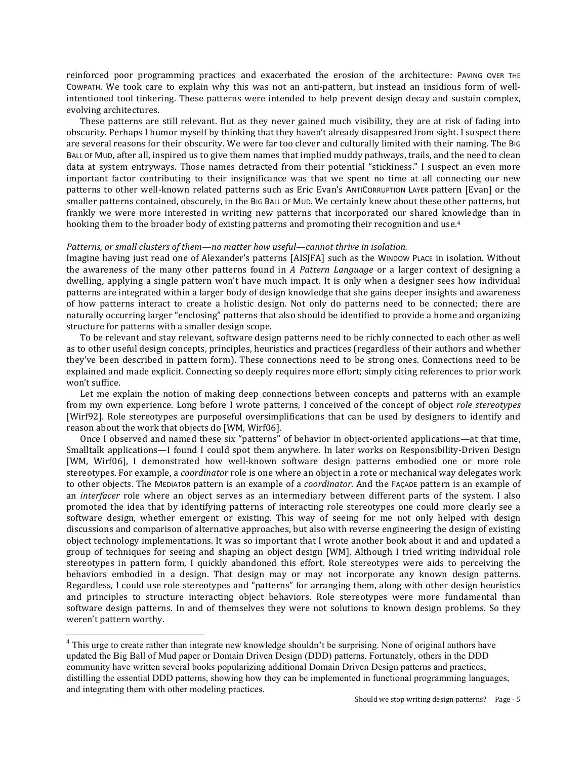reinforced poor programming practices and exacerbated the erosion of the architecture: PAVING OVER THE COWPATH. We took care to explain why this was not an anti-pattern, but instead an insidious form of wellintentioned tool tinkering. These patterns were intended to help prevent design decay and sustain complex, evolving architectures.

These patterns are still relevant. But as they never gained much visibility, they are at risk of fading into obscurity. Perhaps I humor myself by thinking that they haven't already disappeared from sight. I suspect there are several reasons for their obscurity. We were far too clever and culturally limited with their naming. The BIG BALL OF MUD, after all, inspired us to give them names that implied muddy pathways, trails, and the need to clean data at system entryways. Those names detracted from their potential "stickiness." I suspect an even more important factor contributing to their insignificance was that we spent no time at all connecting our new patterns to other well-known related patterns such as Eric Evan's ANTICORRUPTION LAYER pattern [Evan] or the smaller patterns contained, obscurely, in the BIG BALL OF MUD. We certainly knew about these other patterns, but frankly we were more interested in writing new patterns that incorporated our shared knowledge than in hooking them to the broader body of existing patterns and promoting their recognition and use.<sup>4</sup>

#### *Patterns, or small clusters of them—no matter how useful—cannot thrive in isolation.*

Imagine having just read one of Alexander's patterns [AISJFA] such as the WINDOW PLACE in isolation. Without the awareness of the many other patterns found in *A Pattern Language* or a larger context of designing a dwelling, applying a single pattern won't have much impact. It is only when a designer sees how individual patterns are integrated within a larger body of design knowledge that she gains deeper insights and awareness of how patterns interact to create a holistic design. Not only do patterns need to be connected; there are naturally occurring larger "enclosing" patterns that also should be identified to provide a home and organizing structure for patterns with a smaller design scope.

To be relevant and stay relevant, software design patterns need to be richly connected to each other as well as to other useful design concepts, principles, heuristics and practices (regardless of their authors and whether they've been described in pattern form). These connections need to be strong ones. Connections need to be explained and made explicit. Connecting so deeply requires more effort; simply citing references to prior work won't suffice.

Let me explain the notion of making deep connections between concepts and patterns with an example from my own experience. Long before I wrote patterns, I conceived of the concept of object *role stereotypes* [Wirf92]. Role stereotypes are purposeful oversimplifications that can be used by designers to identify and reason about the work that objects do [WM, Wirf06].

Once I observed and named these six "patterns" of behavior in object-oriented applications—at that time, Smalltalk applications—I found I could spot them anywhere. In later works on Responsibility-Driven Design [WM, Wirf06], I demonstrated how well-known software design patterns embodied one or more role stereotypes. For example, a *coordinator* role is one where an object in a rote or mechanical way delegates work to other objects. The MEDIATOR pattern is an example of a *coordinator*. And the FAÇADE pattern is an example of an *interfacer* role where an object serves as an intermediary between different parts of the system. I also promoted the idea that by identifying patterns of interacting role stereotypes one could more clearly see a software design, whether emergent or existing. This way of seeing for me not only helped with design discussions and comparison of alternative approaches, but also with reverse engineering the design of existing object technology implementations. It was so important that I wrote another book about it and and updated a group of techniques for seeing and shaping an object design  $[WM]$ . Although I tried writing individual role stereotypes in pattern form, I quickly abandoned this effort. Role stereotypes were aids to perceiving the behaviors embodied in a design. That design may or may not incorporate any known design patterns. Regardless, I could use role stereotypes and "patterns" for arranging them, along with other design heuristics and principles to structure interacting object behaviors. Role stereotypes were more fundamental than software design patterns. In and of themselves they were not solutions to known design problems. So they weren't pattern worthy.

1

 $4$  This urge to create rather than integrate new knowledge shouldn't be surprising. None of original authors have updated the Big Ball of Mud paper or Domain Driven Design (DDD) patterns. Fortunately, others in the DDD community have written several books popularizing additional Domain Driven Design patterns and practices, distilling the essential DDD patterns, showing how they can be implemented in functional programming languages, and integrating them with other modeling practices.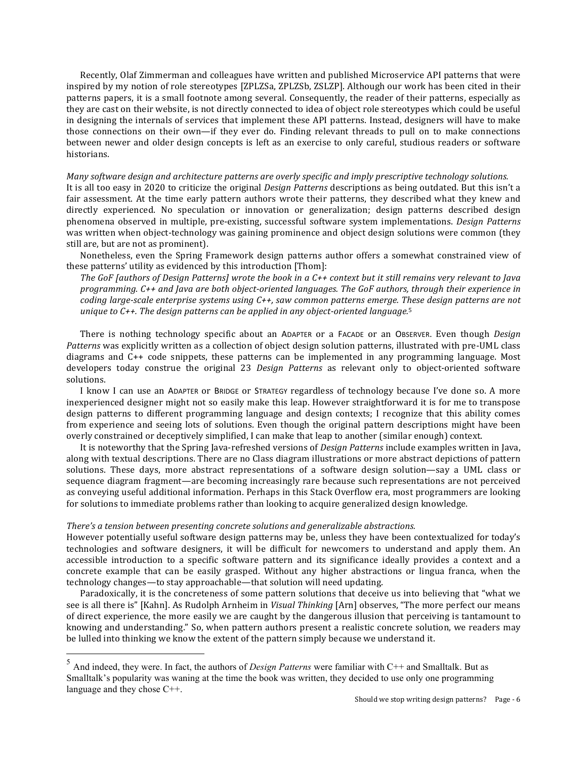Recently, Olaf Zimmerman and colleagues have written and published Microservice API patterns that were inspired by my notion of role stereotypes [ZPLZSa, ZPLZSb, ZSLZP]. Although our work has been cited in their patterns papers, it is a small footnote among several. Consequently, the reader of their patterns, especially as they are cast on their website, is not directly connected to idea of object role stereotypes which could be useful in designing the internals of services that implement these API patterns. Instead, designers will have to make those connections on their own—if they ever do. Finding relevant threads to pull on to make connections between newer and older design concepts is left as an exercise to only careful, studious readers or software historians.

## *Many* software design and architecture patterns are overly specific and imply prescriptive technology solutions.

It is all too easy in 2020 to criticize the original *Design Patterns* descriptions as being outdated. But this isn't a fair assessment. At the time early pattern authors wrote their patterns, they described what they knew and directly experienced. No speculation or innovation or generalization; design patterns described design phenomena observed in multiple, pre-existing, successful software system implementations. *Design Patterns* was written when object-technology was gaining prominence and object design solutions were common (they still are, but are not as prominent).

Nonetheless, even the Spring Framework design patterns author offers a somewhat constrained view of these patterns' utility as evidenced by this introduction [Thom]:

*The GoF [authors of Design Patterns]* wrote the book in a C++ context but it still remains very relevant to Java programming. C++ and Java are both object-oriented languages. The GoF authors, through their experience in *coding large-scale enterprise systems using C++, saw common patterns emerge. These design patterns are not unique to C++. The design patterns can be applied in any object-oriented language.*<sup>5</sup>

There is nothing technology specific about an ADAPTER or a FACADE or an OBSERVER. Even though *Design* Patterns was explicitly written as a collection of object design solution patterns, illustrated with pre-UML class diagrams and C++ code snippets, these patterns can be implemented in any programming language. Most developers today construe the original 23 *Design Patterns* as relevant only to object-oriented software solutions.

I know I can use an ADAPTER or BRIDGE or STRATEGY regardless of technology because I've done so. A more inexperienced designer might not so easily make this leap. However straightforward it is for me to transpose design patterns to different programming language and design contexts; I recognize that this ability comes from experience and seeing lots of solutions. Even though the original pattern descriptions might have been overly constrained or deceptively simplified, I can make that leap to another (similar enough) context.

It is noteworthy that the Spring Java-refreshed versions of *Design Patterns* include examples written in Java, along with textual descriptions. There are no Class diagram illustrations or more abstract depictions of pattern solutions. These days, more abstract representations of a software design solution—say a UML class or sequence diagram fragment—are becoming increasingly rare because such representations are not perceived as conveying useful additional information. Perhaps in this Stack Overflow era, most programmers are looking for solutions to immediate problems rather than looking to acquire generalized design knowledge.

## *There's* a tension between presenting concrete solutions and generalizable abstractions.

However potentially useful software design patterns may be, unless they have been contextualized for today's technologies and software designers, it will be difficult for newcomers to understand and apply them. An accessible introduction to a specific software pattern and its significance ideally provides a context and a concrete example that can be easily grasped. Without any higher abstractions or lingua franca, when the technology changes—to stay approachable—that solution will need updating.

Paradoxically, it is the concreteness of some pattern solutions that deceive us into believing that "what we see is all there is" [Kahn]. As Rudolph Arnheim in *Visual Thinking* [Arn] observes, "The more perfect our means of direct experience, the more easily we are caught by the dangerous illusion that perceiving is tantamount to knowing and understanding." So, when pattern authors present a realistic concrete solution, we readers may be lulled into thinking we know the extent of the pattern simply because we understand it.

<sup>5</sup> And indeed, they were. In fact, the authors of *Design Patterns* were familiar with C++ and Smalltalk. But as Smalltalk's popularity was waning at the time the book was written, they decided to use only one programming language and they chose C++.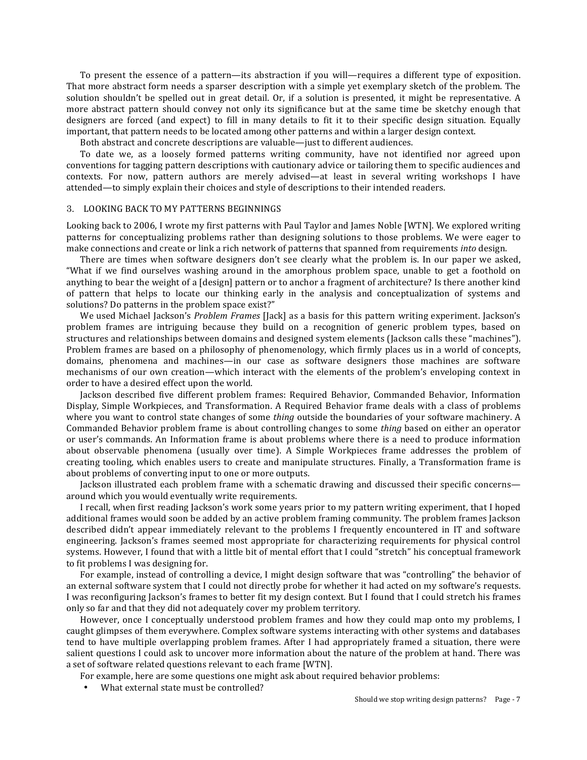To present the essence of a pattern—its abstraction if you will—requires a different type of exposition. That more abstract form needs a sparser description with a simple yet exemplary sketch of the problem. The solution shouldn't be spelled out in great detail. Or, if a solution is presented, it might be representative. A more abstract pattern should convey not only its significance but at the same time be sketchy enough that designers are forced (and expect) to fill in many details to fit it to their specific design situation. Equally important, that pattern needs to be located among other patterns and within a larger design context.

Both abstract and concrete descriptions are valuable—just to different audiences.

To date we, as a loosely formed patterns writing community, have not identified nor agreed upon conventions for tagging pattern descriptions with cautionary advice or tailoring them to specific audiences and contexts. For now, pattern authors are merely advised—at least in several writing workshops I have attended—to simply explain their choices and style of descriptions to their intended readers.

## 3. LOOKING BACK TO MY PATTERNS BEGINNINGS

Looking back to 2006, I wrote my first patterns with Paul Taylor and James Noble [WTN]. We explored writing patterns for conceptualizing problems rather than designing solutions to those problems. We were eager to make connections and create or link a rich network of patterns that spanned from requirements *into* design.

There are times when software designers don't see clearly what the problem is. In our paper we asked, "What if we find ourselves washing around in the amorphous problem space, unable to get a foothold on anything to bear the weight of a [design] pattern or to anchor a fragment of architecture? Is there another kind of pattern that helps to locate our thinking early in the analysis and conceptualization of systems and solutions? Do patterns in the problem space exist?"

We used Michael Jackson's *Problem Frames* [Jack] as a basis for this pattern writing experiment. Jackson's problem frames are intriguing because they build on a recognition of generic problem types, based on structures and relationships between domains and designed system elements (Jackson calls these "machines"). Problem frames are based on a philosophy of phenomenology, which firmly places us in a world of concepts. domains, phenomena and machines—in our case as software designers those machines are software mechanisms of our own creation—which interact with the elements of the problem's enveloping context in order to have a desired effect upon the world.

Jackson described five different problem frames: Required Behavior, Commanded Behavior, Information Display, Simple Workpieces, and Transformation. A Required Behavior frame deals with a class of problems where you want to control state changes of some *thing* outside the boundaries of your software machinery. A Commanded Behavior problem frame is about controlling changes to some *thing* based on either an operator or user's commands. An Information frame is about problems where there is a need to produce information about observable phenomena (usually over time). A Simple Workpieces frame addresses the problem of creating tooling, which enables users to create and manipulate structures. Finally, a Transformation frame is about problems of converting input to one or more outputs.

Jackson illustrated each problem frame with a schematic drawing and discussed their specific concerns around which you would eventually write requirements.

I recall, when first reading Jackson's work some years prior to my pattern writing experiment, that I hoped additional frames would soon be added by an active problem framing community. The problem frames Jackson described didn't appear immediately relevant to the problems I frequently encountered in IT and software engineering. Jackson's frames seemed most appropriate for characterizing requirements for physical control systems. However, I found that with a little bit of mental effort that I could "stretch" his conceptual framework to fit problems I was designing for.

For example, instead of controlling a device, I might design software that was "controlling" the behavior of an external software system that I could not directly probe for whether it had acted on my software's requests. I was reconfiguring Jackson's frames to better fit my design context. But I found that I could stretch his frames only so far and that they did not adequately cover my problem territory.

However, once I conceptually understood problem frames and how they could map onto my problems, I caught glimpses of them everywhere. Complex software systems interacting with other systems and databases tend to have multiple overlapping problem frames. After I had appropriately framed a situation, there were salient questions I could ask to uncover more information about the nature of the problem at hand. There was a set of software related questions relevant to each frame [WTN].

For example, here are some questions one might ask about required behavior problems:

What external state must be controlled?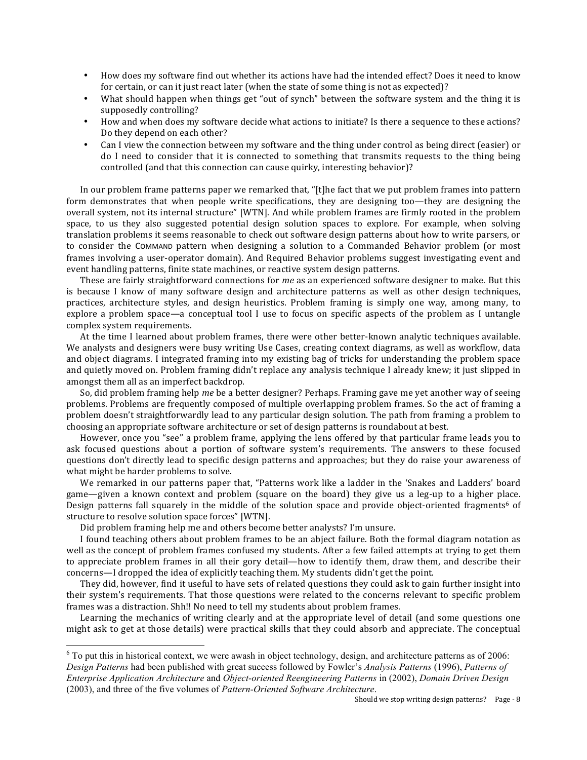- How does my software find out whether its actions have had the intended effect? Does it need to know for certain, or can it just react later (when the state of some thing is not as expected)?
- What should happen when things get "out of synch" between the software system and the thing it is supposedly controlling?
- How and when does my software decide what actions to initiate? Is there a sequence to these actions? Do they depend on each other?
- Can I view the connection between my software and the thing under control as being direct (easier) or do I need to consider that it is connected to something that transmits requests to the thing being controlled (and that this connection can cause quirky, interesting behavior)?

In our problem frame patterns paper we remarked that, "[t]he fact that we put problem frames into pattern form demonstrates that when people write specifications, they are designing too—they are designing the overall system, not its internal structure" [WTN]. And while problem frames are firmly rooted in the problem space, to us they also suggested potential design solution spaces to explore. For example, when solving translation problems it seems reasonable to check out software design patterns about how to write parsers, or to consider the COMMAND pattern when designing a solution to a Commanded Behavior problem (or most frames involving a user-operator domain). And Required Behavior problems suggest investigating event and event handling patterns, finite state machines, or reactive system design patterns.

These are fairly straightforward connections for *me* as an experienced software designer to make. But this is because I know of many software design and architecture patterns as well as other design techniques, practices, architecture styles, and design heuristics. Problem framing is simply one way, among many, to explore a problem space—a conceptual tool I use to focus on specific aspects of the problem as I untangle complex system requirements.

At the time I learned about problem frames, there were other better-known analytic techniques available. We analysts and designers were busy writing Use Cases, creating context diagrams, as well as workflow, data and object diagrams. I integrated framing into my existing bag of tricks for understanding the problem space and quietly moved on. Problem framing didn't replace any analysis technique I already knew; it just slipped in amongst them all as an imperfect backdrop.

So, did problem framing help *me* be a better designer? Perhaps. Framing gave me yet another way of seeing problems. Problems are frequently composed of multiple overlapping problem frames. So the act of framing a problem doesn't straightforwardly lead to any particular design solution. The path from framing a problem to choosing an appropriate software architecture or set of design patterns is roundabout at best.

However, once you "see" a problem frame, applying the lens offered by that particular frame leads you to ask focused questions about a portion of software system's requirements. The answers to these focused questions don't directly lead to specific design patterns and approaches; but they do raise your awareness of what might be harder problems to solve.

We remarked in our patterns paper that, "Patterns work like a ladder in the 'Snakes and Ladders' board game—given a known context and problem (square on the board) they give us a leg-up to a higher place. Design patterns fall squarely in the middle of the solution space and provide object-oriented fragments<sup>6</sup> of structure to resolve solution space forces" [WTN].

Did problem framing help me and others become better analysts? I'm unsure.

I found teaching others about problem frames to be an abject failure. Both the formal diagram notation as well as the concept of problem frames confused my students. After a few failed attempts at trying to get them to appreciate problem frames in all their gory detail—how to identify them, draw them, and describe their concerns—I dropped the idea of explicitly teaching them. My students didn't get the point.

They did, however, find it useful to have sets of related questions they could ask to gain further insight into their system's requirements. That those questions were related to the concerns relevant to specific problem frames was a distraction. Shh!! No need to tell my students about problem frames.

Learning the mechanics of writing clearly and at the appropriate level of detail (and some questions one might ask to get at those details) were practical skills that they could absorb and appreciate. The conceptual

 $6$  To put this in historical context, we were awash in object technology, design, and architecture patterns as of 2006: *Design Patterns* had been published with great success followed by Fowler's *Analysis Patterns* (1996), *Patterns of Enterprise Application Architecture* and *Object-oriented Reengineering Patterns* in (2002), *Domain Driven Design* (2003), and three of the five volumes of *Pattern-Oriented Software Architecture*.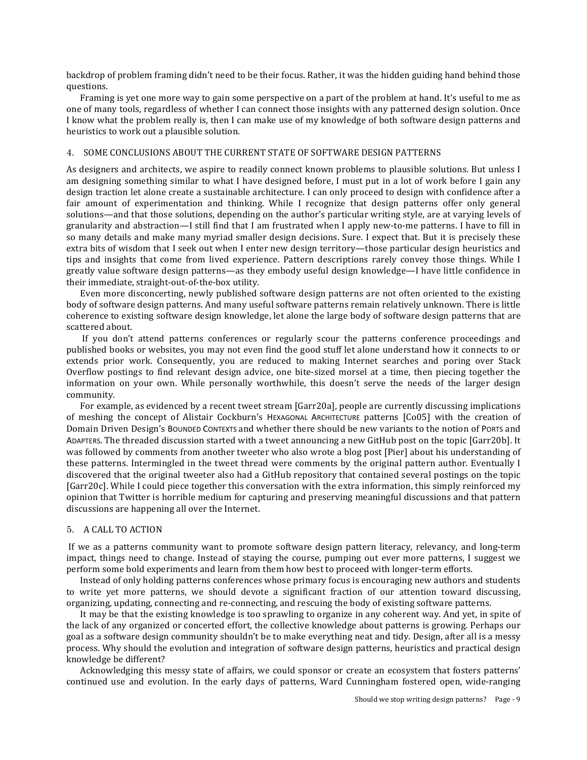backdrop of problem framing didn't need to be their focus. Rather, it was the hidden guiding hand behind those questions.

Framing is yet one more way to gain some perspective on a part of the problem at hand. It's useful to me as one of many tools, regardless of whether I can connect those insights with any patterned design solution. Once I know what the problem really is, then I can make use of my knowledge of both software design patterns and heuristics to work out a plausible solution.

## 4. SOME CONCLUSIONS ABOUT THE CURRENT STATE OF SOFTWARE DESIGN PATTERNS

As designers and architects, we aspire to readily connect known problems to plausible solutions. But unless I am designing something similar to what I have designed before, I must put in a lot of work before I gain any design traction let alone create a sustainable architecture. I can only proceed to design with confidence after a fair amount of experimentation and thinking. While I recognize that design patterns offer only general solutions—and that those solutions, depending on the author's particular writing style, are at varying levels of granularity and abstraction—I still find that I am frustrated when I apply new-to-me patterns. I have to fill in so many details and make many myriad smaller design decisions. Sure. I expect that. But it is precisely these extra bits of wisdom that I seek out when I enter new design territory—those particular design heuristics and tips and insights that come from lived experience. Pattern descriptions rarely convey those things. While I greatly value software design patterns—as they embody useful design knowledge—I have little confidence in their immediate, straight-out-of-the-box utility.

Even more disconcerting, newly published software design patterns are not often oriented to the existing body of software design patterns. And many useful software patterns remain relatively unknown. There is little coherence to existing software design knowledge, let alone the large body of software design patterns that are scattered about.

If you don't attend patterns conferences or regularly scour the patterns conference proceedings and published books or websites, you may not even find the good stuff let alone understand how it connects to or extends prior work. Consequently, you are reduced to making Internet searches and poring over Stack Overflow postings to find relevant design advice, one bite-sized morsel at a time, then piecing together the information on your own. While personally worthwhile, this doesn't serve the needs of the larger design community.

For example, as evidenced by a recent tweet stream [Garr20a], people are currently discussing implications of meshing the concept of Alistair Cockburn's HEXAGONAL ARCHITECTURE patterns [Co05] with the creation of Domain Driven Design's BOUNDED CONTEXTS and whether there should be new variants to the notion of PORTS and ADAPTERS. The threaded discussion started with a tweet announcing a new GitHub post on the topic [Garr20b]. It was followed by comments from another tweeter who also wrote a blog post [Pier] about his understanding of these patterns. Intermingled in the tweet thread were comments by the original pattern author. Eventually I discovered that the original tweeter also had a GitHub repository that contained several postings on the topic [Garr20c]. While I could piece together this conversation with the extra information, this simply reinforced my opinion that Twitter is horrible medium for capturing and preserving meaningful discussions and that pattern discussions are happening all over the Internet.

#### 5. A CALL TO ACTION

If we as a patterns community want to promote software design pattern literacy, relevancy, and long-term impact, things need to change. Instead of staying the course, pumping out ever more patterns, I suggest we perform some bold experiments and learn from them how best to proceed with longer-term efforts.

Instead of only holding patterns conferences whose primary focus is encouraging new authors and students to write yet more patterns, we should devote a significant fraction of our attention toward discussing, organizing, updating, connecting and re-connecting, and rescuing the body of existing software patterns.

It may be that the existing knowledge is too sprawling to organize in any coherent way. And yet, in spite of the lack of any organized or concerted effort, the collective knowledge about patterns is growing. Perhaps our goal as a software design community shouldn't be to make everything neat and tidy. Design, after all is a messy process. Why should the evolution and integration of software design patterns, heuristics and practical design knowledge be different?

Acknowledging this messy state of affairs, we could sponsor or create an ecosystem that fosters patterns' continued use and evolution. In the early days of patterns, Ward Cunningham fostered open, wide-ranging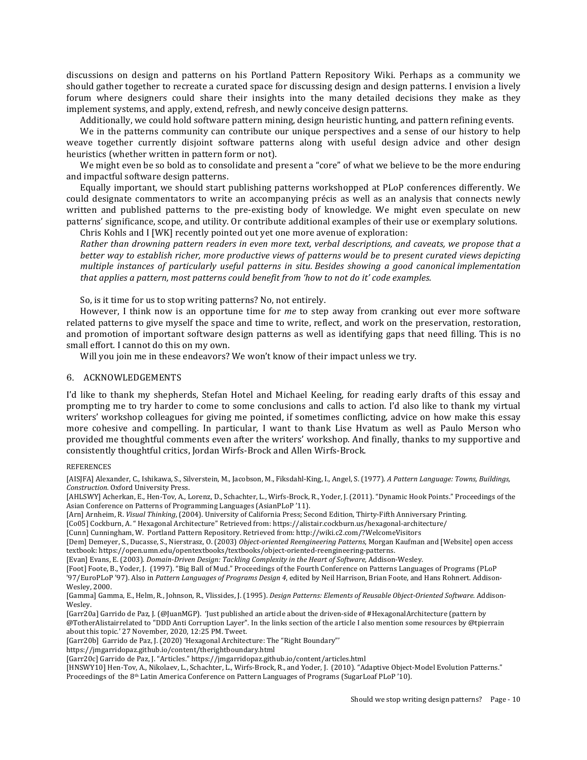discussions on design and patterns on his Portland Pattern Repository Wiki. Perhaps as a community we should gather together to recreate a curated space for discussing design and design patterns. I envision a lively forum where designers could share their insights into the many detailed decisions they make as they implement systems, and apply, extend, refresh, and newly conceive design patterns.

Additionally, we could hold software pattern mining, design heuristic hunting, and pattern refining events.

We in the patterns community can contribute our unique perspectives and a sense of our history to help weave together currently disjoint software patterns along with useful design advice and other design heuristics (whether written in pattern form or not).

We might even be so bold as to consolidate and present a "core" of what we believe to be the more enduring and impactful software design patterns.

Equally important, we should start publishing patterns workshopped at PLoP conferences differently. We could designate commentators to write an accompanying précis as well as an analysis that connects newly written and published patterns to the pre-existing body of knowledge. We might even speculate on new patterns' significance, scope, and utility. Or contribute additional examples of their use or exemplary solutions. Chris Kohls and I [WK] recently pointed out yet one more avenue of exploration:

*Rather than drowning pattern readers in even more text, verbal descriptions, and caveats, we propose that a better* way to establish richer, more productive views of patterns would be to present curated views depicting *multiple instances of particularly useful patterns in situ. Besides showing a good canonical implementation that applies a pattern, most patterns could benefit from 'how to not do it' code examples.* 

So, is it time for us to stop writing patterns? No, not entirely.

However, I think now is an opportune time for *me* to step away from cranking out ever more software related patterns to give myself the space and time to write, reflect, and work on the preservation, restoration, and promotion of important software design patterns as well as identifying gaps that need filling. This is no small effort. I cannot do this on my own.

Will you join me in these endeavors? We won't know of their impact unless we try.

#### 6. ACKNOWLEDGEMENTS

I'd like to thank my shepherds, Stefan Hotel and Michael Keeling, for reading early drafts of this essay and prompting me to try harder to come to some conclusions and calls to action. I'd also like to thank my virtual writers' workshop colleagues for giving me pointed, if sometimes conflicting, advice on how make this essay more cohesive and compelling. In particular, I want to thank Lise Hvatum as well as Paulo Merson who provided me thoughtful comments even after the writers' workshop. And finally, thanks to my supportive and consistently thoughtful critics, Jordan Wirfs-Brock and Allen Wirfs-Brock.

## **REFERENCES**

[AISJFA] Alexander, C., Ishikawa, S., Silverstein, M., Jacobson, M., Fiksdahl-King, I., Angel, S. (1977). *A Pattern Language: Towns, Buildings, Construction.* Oxford University Press.

[AHLSWY] Acherkan, E., Hen-Tov, A., Lorenz, D., Schachter, L., Wirfs-Brock, R., Yoder, J. (2011). "Dynamic Hook Points." Proceedings of the Asian Conference on Patterns of Programming Languages (AsianPLoP '11).

[Arn] Arnheim, R. *Visual Thinking*, (2004). University of California Press; Second Edition, Thirty-Fifth Anniversary Printing.

[Co05] Cockburn, A. " Hexagonal Architecture" Retrieved from: https://alistair.cockburn.us/hexagonal-architecture/

[Cunn] Cunningham, W. Portland Pattern Repository. Retrieved from: http://wiki.c2.com/?WelcomeVisitors

[Dem] Demeyer, S., Ducasse, S., Nierstrasz, O. (2003) *Object-oriented Reengineering Patterns*, Morgan Kaufman and [Website] open access textbook: https://open.umn.edu/opentextbooks/textbooks/object-oriented-reengineering-patterns.

[Evan] Evans, E. (2003). *Domain-Driven Design: Tackling Complexity in the Heart of Software, Addison-Wesley.* 

[Foot] Foote, B., Yoder, J. (1997). "Big Ball of Mud." Proceedings of the Fourth Conference on Patterns Languages of Programs (PLoP '97/EuroPLoP '97). Also in *Pattern Languages of Programs Design 4*, edited by Neil Harrison, Brian Foote, and Hans Rohnert. Addison-Wesley, 2000.

[Gamma] Gamma, E., Helm, R., Johnson, R., Vlissides, J. (1995). *Design Patterns: Elements of Reusable Object-Oriented Software*. Addison-Wesley.

[Garr20a] Garrido de Paz, J. (@JuanMGP). 'Just published an article about the driven-side of #HexagonalArchitecture (pattern by @TotherAlistairrelated to "DDD Anti Corruption Layer". In the links section of the article I also mention some resources by @tpierrain about this topic.' 27 November, 2020, 12:25 PM. Tweet.

[Garr20b] Garrido de Paz, J. (2020) 'Hexagonal Architecture: The "Right Boundary"'

https://jmgarridopaz.github.io/content/therightboundary.html

[Garr20c] Garrido de Paz, J. "Articles." https://jmgarridopaz.github.io/content/articles.html

[HNSWY10] Hen-Tov, A., Nikolaev, L., Schachter, L., Wirfs-Brock, R., and Yoder, J. (2010). "Adaptive Object-Model Evolution Patterns." Proceedings of the 8<sup>th</sup> Latin America Conference on Pattern Languages of Programs (SugarLoaf PLoP '10).